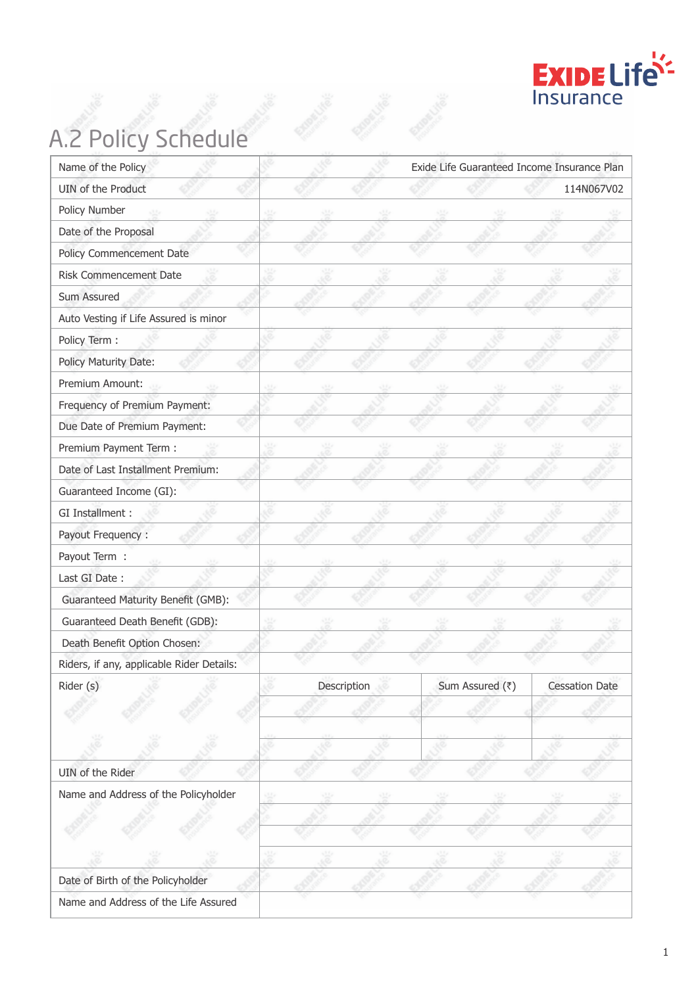

# A.2 Policy Schedule

| Name of the Policy                        |   |             | Exide Life Guaranteed Income Insurance Plan |                       |
|-------------------------------------------|---|-------------|---------------------------------------------|-----------------------|
| <b>UIN of the Product</b>                 |   |             |                                             | 114N067V02            |
| Policy Number                             |   |             |                                             |                       |
| Date of the Proposal                      |   |             |                                             |                       |
| Policy Commencement Date                  |   |             |                                             |                       |
| Risk Commencement Date                    |   |             |                                             |                       |
| Sum Assured                               |   |             |                                             |                       |
| Auto Vesting if Life Assured is minor     |   |             |                                             |                       |
| Policy Term:                              |   |             |                                             |                       |
| Policy Maturity Date:                     |   |             |                                             |                       |
| Premium Amount:                           |   |             |                                             |                       |
| Frequency of Premium Payment:             |   |             |                                             |                       |
| Due Date of Premium Payment:              |   |             |                                             |                       |
| Premium Payment Term :                    |   |             |                                             |                       |
| Date of Last Installment Premium:         |   |             |                                             |                       |
| Guaranteed Income (GI):                   |   |             |                                             |                       |
| GI Installment :                          |   |             |                                             |                       |
| Payout Frequency :                        |   |             |                                             |                       |
| Payout Term :                             |   |             |                                             |                       |
| Last GI Date:                             |   |             |                                             |                       |
| Guaranteed Maturity Benefit (GMB):        |   |             |                                             |                       |
| Guaranteed Death Benefit (GDB):           |   |             |                                             |                       |
| Death Benefit Option Chosen:              |   |             |                                             |                       |
| Riders, if any, applicable Rider Details: |   |             |                                             |                       |
| Rider (s)                                 |   | Description | Sum Assured (₹)                             | <b>Cessation Date</b> |
|                                           |   |             |                                             |                       |
|                                           |   |             |                                             |                       |
|                                           | æ |             |                                             |                       |
| UIN of the Rider                          |   |             |                                             |                       |
| Name and Address of the Policyholder      |   |             |                                             |                       |
|                                           |   |             |                                             |                       |
|                                           |   |             |                                             |                       |
|                                           | Ë |             |                                             |                       |
| Date of Birth of the Policyholder         |   |             |                                             |                       |
| Name and Address of the Life Assured      |   |             |                                             |                       |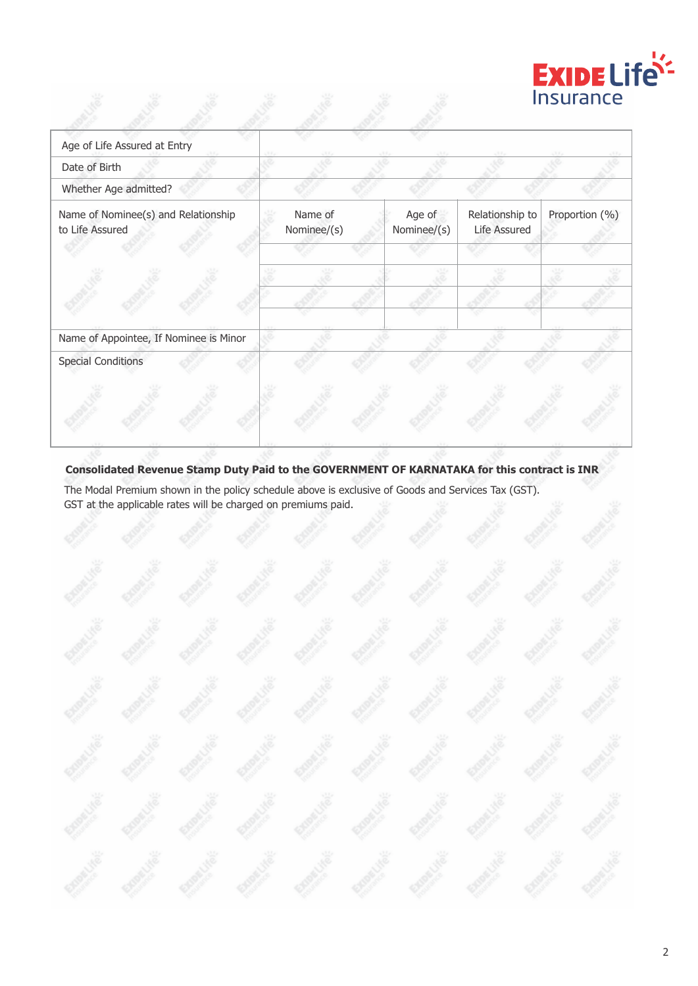

| Age of Life Assured at Entry                           |                        |                       |                                 |                |
|--------------------------------------------------------|------------------------|-----------------------|---------------------------------|----------------|
| Date of Birth                                          |                        |                       |                                 |                |
| Whether Age admitted?                                  |                        |                       |                                 |                |
| Name of Nominee(s) and Relationship<br>to Life Assured | Name of<br>Nominee/(s) | Age of<br>Nominee/(s) | Relationship to<br>Life Assured | Proportion (%) |
|                                                        |                        |                       |                                 |                |
|                                                        |                        |                       |                                 |                |
|                                                        |                        |                       |                                 |                |
| Name of Appointee, If Nominee is Minor                 |                        |                       |                                 |                |
| <b>Special Conditions</b>                              |                        |                       |                                 |                |
|                                                        |                        |                       |                                 |                |

**Consolidated Revenue Stamp Duty Paid to the GOVERNMENT OF KARNATAKA for this contract is INR**

The Modal Premium shown in the policy schedule above is exclusive of Goods and Services Tax (GST). GST at the applicable rates will be charged on premiums paid.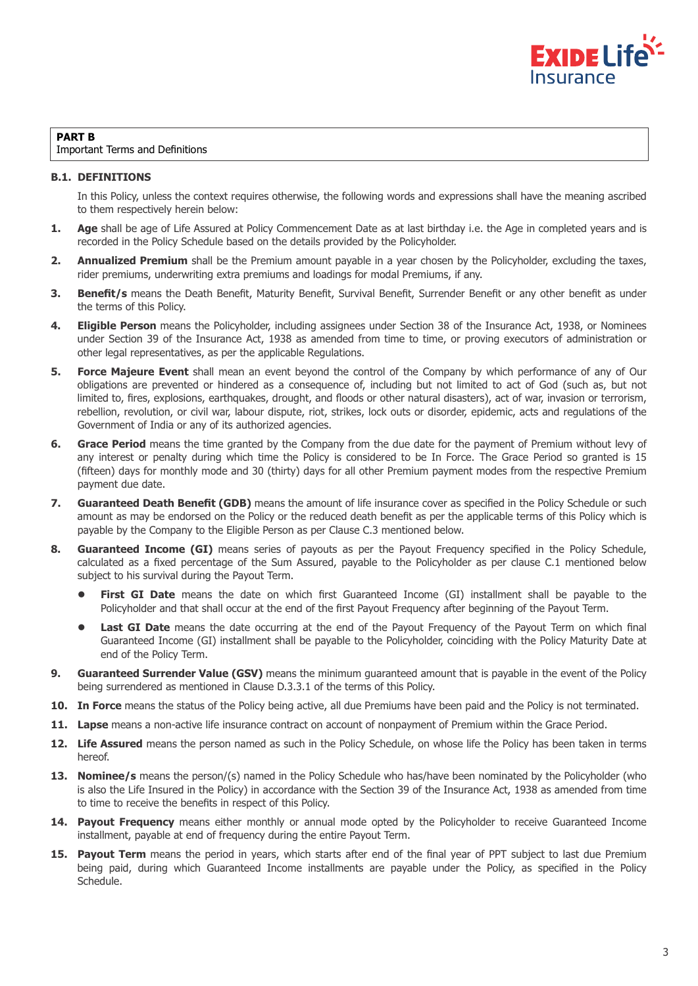

#### **PART B** Important Terms and Definitions

# **B.1. DEFINITIONS**

In this Policy, unless the context requires otherwise, the following words and expressions shall have the meaning ascribed to them respectively herein below:

- **1. Age** shall be age of Life Assured at Policy Commencement Date as at last birthday i.e. the Age in completed years and is recorded in the Policy Schedule based on the details provided by the Policyholder.
- **2.** Annualized Premium shall be the Premium amount payable in a year chosen by the Policyholder, excluding the taxes, rider premiums, underwriting extra premiums and loadings for modal Premiums, if any.
- **3. Benefit/s** means the Death Benefit, Maturity Benefit, Survival Benefit, Surrender Benefit or any other benefit as under the terms of this Policy.
- **4. Eligible Person** means the Policyholder, including assignees under Section 38 of the Insurance Act, 1938, or Nominees under Section 39 of the Insurance Act, 1938 as amended from time to time, or proving executors of administration or other legal representatives, as per the applicable Regulations.
- **5. Force Majeure Event** shall mean an event beyond the control of the Company by which performance of any of Our obligations are prevented or hindered as a consequence of, including but not limited to act of God (such as, but not limited to, fires, explosions, earthquakes, drought, and floods or other natural disasters), act of war, invasion or terrorism, rebellion, revolution, or civil war, labour dispute, riot, strikes, lock outs or disorder, epidemic, acts and regulations of the Government of India or any of its authorized agencies.
- **6. Grace Period** means the time granted by the Company from the due date for the payment of Premium without levy of any interest or penalty during which time the Policy is considered to be In Force. The Grace Period so granted is 15 (fifteen) days for monthly mode and 30 (thirty) days for all other Premium payment modes from the respective Premium payment due date.
- **7. Guaranteed Death Benefit (GDB)** means the amount of life insurance cover as specified in the Policy Schedule or such amount as may be endorsed on the Policy or the reduced death benefit as per the applicable terms of this Policy which is payable by the Company to the Eligible Person as per Clause C.3 mentioned below.
- **8. Guaranteed Income (GI)** means series of payouts as per the Payout Frequency specified in the Policy Schedule, calculated as a fixed percentage of the Sum Assured, payable to the Policyholder as per clause C.1 mentioned below subject to his survival during the Payout Term.
	- **First GI Date** means the date on which first Guaranteed Income (GI) installment shall be payable to the Policyholder and that shall occur at the end of the first Payout Frequency after beginning of the Payout Term.
	- Last GI Date means the date occurring at the end of the Payout Frequency of the Payout Term on which final Guaranteed Income (GI) installment shall be payable to the Policyholder, coinciding with the Policy Maturity Date at end of the Policy Term.
- **9.** Guaranteed Surrender Value (GSV) means the minimum quaranteed amount that is payable in the event of the Policy being surrendered as mentioned in Clause D.3.3.1 of the terms of this Policy.
- **10. In Force** means the status of the Policy being active, all due Premiums have been paid and the Policy is not terminated.
- **11. Lapse** means a non-active life insurance contract on account of nonpayment of Premium within the Grace Period.
- **12. Life Assured** means the person named as such in the Policy Schedule, on whose life the Policy has been taken in terms hereof.
- 13. Nominee/s means the person/(s) named in the Policy Schedule who has/have been nominated by the Policyholder (who is also the Life Insured in the Policy) in accordance with the Section 39 of the Insurance Act, 1938 as amended from time to time to receive the benefits in respect of this Policy.
- **14. Payout Frequency** means either monthly or annual mode opted by the Policyholder to receive Guaranteed Income installment, payable at end of frequency during the entire Payout Term.
- 15. Payout Term means the period in years, which starts after end of the final year of PPT subject to last due Premium being paid, during which Guaranteed Income installments are payable under the Policy, as specified in the Policy Schedule.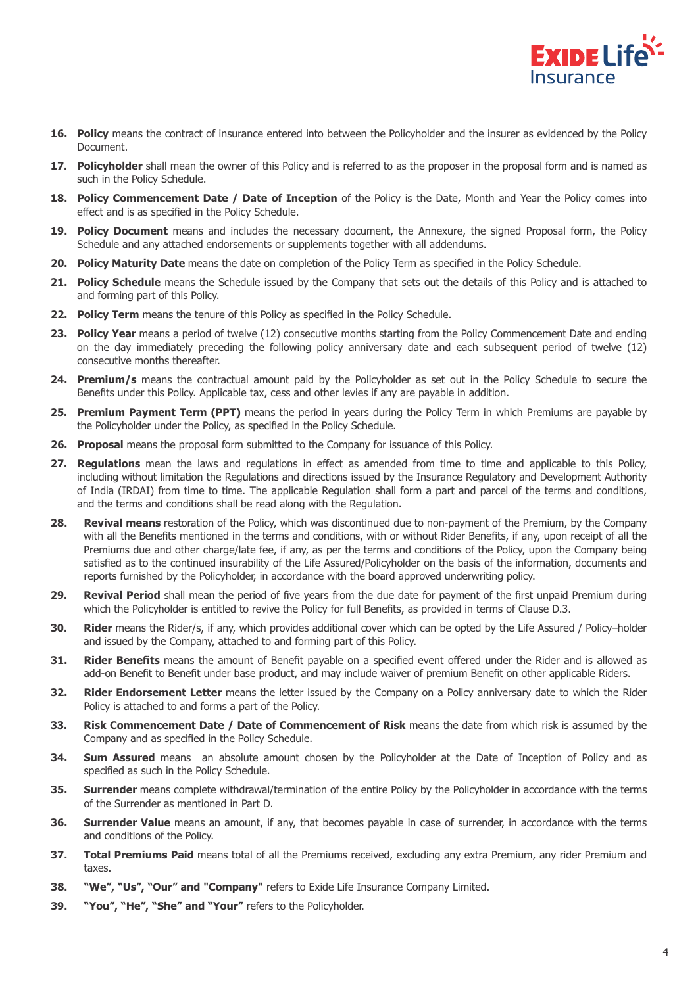

- **16. Policy** means the contract of insurance entered into between the Policyholder and the insurer as evidenced by the Policy Document.
- **17. Policyholder** shall mean the owner of this Policy and is referred to as the proposer in the proposal form and is named as such in the Policy Schedule.
- **18. Policy Commencement Date / Date of Inception** of the Policy is the Date, Month and Year the Policy comes into effect and is as specified in the Policy Schedule.
- **19. Policy Document** means and includes the necessary document, the Annexure, the signed Proposal form, the Policy Schedule and any attached endorsements or supplements together with all addendums.
- **20. Policy Maturity Date** means the date on completion of the Policy Term as specified in the Policy Schedule.
- **21. Policy Schedule** means the Schedule issued by the Company that sets out the details of this Policy and is attached to and forming part of this Policy.
- **22. Policy Term** means the tenure of this Policy as specified in the Policy Schedule.
- 23. Policy Year means a period of twelve (12) consecutive months starting from the Policy Commencement Date and ending on the day immediately preceding the following policy anniversary date and each subsequent period of twelve (12) consecutive months thereafter.
- **24. Premium/s** means the contractual amount paid by the Policyholder as set out in the Policy Schedule to secure the Benefits under this Policy. Applicable tax, cess and other levies if any are payable in addition.
- **25. Premium Payment Term (PPT)** means the period in years during the Policy Term in which Premiums are payable by the Policyholder under the Policy, as specified in the Policy Schedule.
- **26. Proposal** means the proposal form submitted to the Company for issuance of this Policy.
- **27. Regulations** mean the laws and regulations in effect as amended from time to time and applicable to this Policy, including without limitation the Regulations and directions issued by the Insurance Regulatory and Development Authority of India (IRDAI) from time to time. The applicable Regulation shall form a part and parcel of the terms and conditions, and the terms and conditions shall be read along with the Regulation.
- **28. Revival means** restoration of the Policy, which was discontinued due to non-payment of the Premium, by the Company with all the Benefits mentioned in the terms and conditions, with or without Rider Benefits, if any, upon receipt of all the Premiums due and other charge/late fee, if any, as per the terms and conditions of the Policy, upon the Company being satisfied as to the continued insurability of the Life Assured/Policyholder on the basis of the information, documents and reports furnished by the Policyholder, in accordance with the board approved underwriting policy.
- **29. Revival Period** shall mean the period of five years from the due date for payment of the first unpaid Premium during which the Policyholder is entitled to revive the Policy for full Benefits, as provided in terms of Clause D.3.
- **30. Rider** means the Rider/s, if any, which provides additional cover which can be opted by the Life Assured / Policy–holder and issued by the Company, attached to and forming part of this Policy.
- **31. Rider Benefits** means the amount of Benefit payable on a specified event offered under the Rider and is allowed as add-on Benefit to Benefit under base product, and may include waiver of premium Benefit on other applicable Riders.
- **32. Rider Endorsement Letter** means the letter issued by the Company on a Policy anniversary date to which the Rider Policy is attached to and forms a part of the Policy.
- **33. Risk Commencement Date / Date of Commencement of Risk** means the date from which risk is assumed by the Company and as specified in the Policy Schedule.
- **34. Sum Assured** means an absolute amount chosen by the Policyholder at the Date of Inception of Policy and as specified as such in the Policy Schedule.
- **35. Surrender** means complete withdrawal/termination of the entire Policy by the Policyholder in accordance with the terms of the Surrender as mentioned in Part D.
- **36.** Surrender Value means an amount, if any, that becomes payable in case of surrender, in accordance with the terms and conditions of the Policy.
- **37. Total Premiums Paid** means total of all the Premiums received, excluding any extra Premium, any rider Premium and taxes.
- **38. "We", "Us", "Our" and "Company"** refers to Exide Life Insurance Company Limited.
- **39. "You", "He", "She" and "Your"** refers to the Policyholder.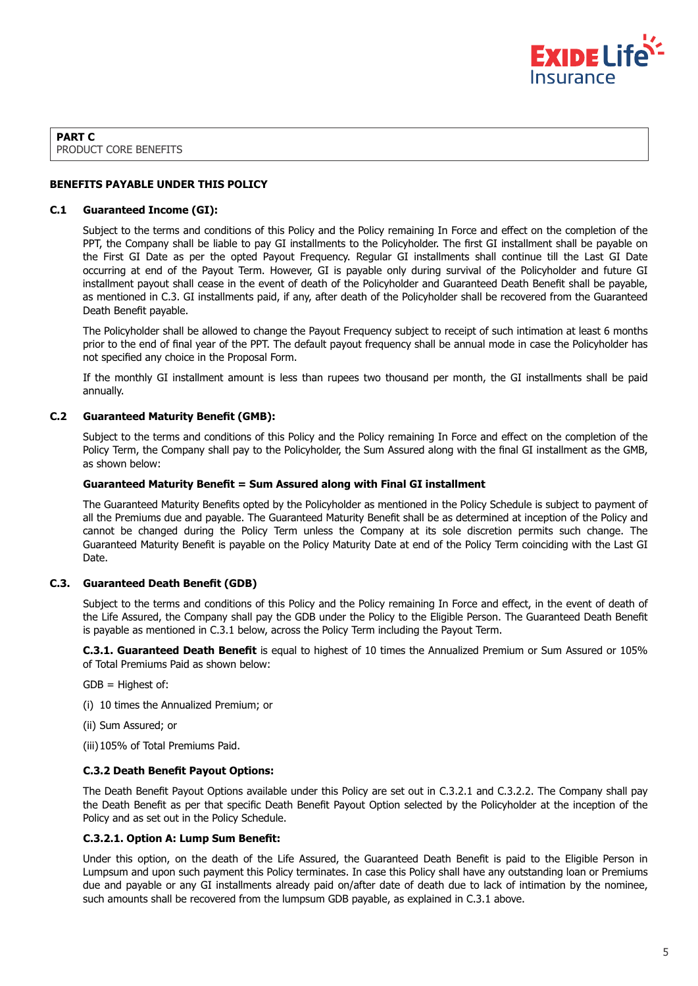

#### **PART C** PRODUCT CORE BENEFITS

# **BENEFITS PAYABLE UNDER THIS POLICY**

# **C.1 Guaranteed Income (GI):**

Subject to the terms and conditions of this Policy and the Policy remaining In Force and effect on the completion of the PPT, the Company shall be liable to pay GI installments to the Policyholder. The first GI installment shall be payable on the First GI Date as per the opted Payout Frequency. Regular GI installments shall continue till the Last GI Date occurring at end of the Payout Term. However, GI is payable only during survival of the Policyholder and future GI installment payout shall cease in the event of death of the Policyholder and Guaranteed Death Benefit shall be payable, as mentioned in C.3. GI installments paid, if any, after death of the Policyholder shall be recovered from the Guaranteed Death Benefit payable.

The Policyholder shall be allowed to change the Payout Frequency subject to receipt of such intimation at least 6 months prior to the end of final year of the PPT. The default payout frequency shall be annual mode in case the Policyholder has not specified any choice in the Proposal Form.

If the monthly GI installment amount is less than rupees two thousand per month, the GI installments shall be paid annually.

# **C.2 Guaranteed Maturity Benefit (GMB):**

Subject to the terms and conditions of this Policy and the Policy remaining In Force and effect on the completion of the Policy Term, the Company shall pay to the Policyholder, the Sum Assured along with the final GI installment as the GMB, as shown below:

# **Guaranteed Maturity Benefit = Sum Assured along with Final GI installment**

The Guaranteed Maturity Benefits opted by the Policyholder as mentioned in the Policy Schedule is subject to payment of all the Premiums due and payable. The Guaranteed Maturity Benefit shall be as determined at inception of the Policy and cannot be changed during the Policy Term unless the Company at its sole discretion permits such change. The Guaranteed Maturity Benefit is payable on the Policy Maturity Date at end of the Policy Term coinciding with the Last GI Date.

#### **C.3. Guaranteed Death Benefit (GDB)**

Subject to the terms and conditions of this Policy and the Policy remaining In Force and effect, in the event of death of the Life Assured, the Company shall pay the GDB under the Policy to the Eligible Person. The Guaranteed Death Benefit is payable as mentioned in C.3.1 below, across the Policy Term including the Payout Term.

**C.3.1. Guaranteed Death Benefit** is equal to highest of 10 times the Annualized Premium or Sum Assured or 105% of Total Premiums Paid as shown below:

GDB = Highest of:

- (i) 10 times the Annualized Premium; or
- (ii) Sum Assured; or
- (iii) 105% of Total Premiums Paid.

#### **C.3.2 Death Benefit Payout Options:**

The Death Benefit Payout Options available under this Policy are set out in C.3.2.1 and C.3.2.2. The Company shall pay the Death Benefit as per that specific Death Benefit Payout Option selected by the Policyholder at the inception of the Policy and as set out in the Policy Schedule.

# **C.3.2.1. Option A: Lump Sum Benefit:**

Under this option, on the death of the Life Assured, the Guaranteed Death Benefit is paid to the Eligible Person in Lumpsum and upon such payment this Policy terminates. In case this Policy shall have any outstanding loan or Premiums due and payable or any GI installments already paid on/after date of death due to lack of intimation by the nominee, such amounts shall be recovered from the lumpsum GDB payable, as explained in C.3.1 above.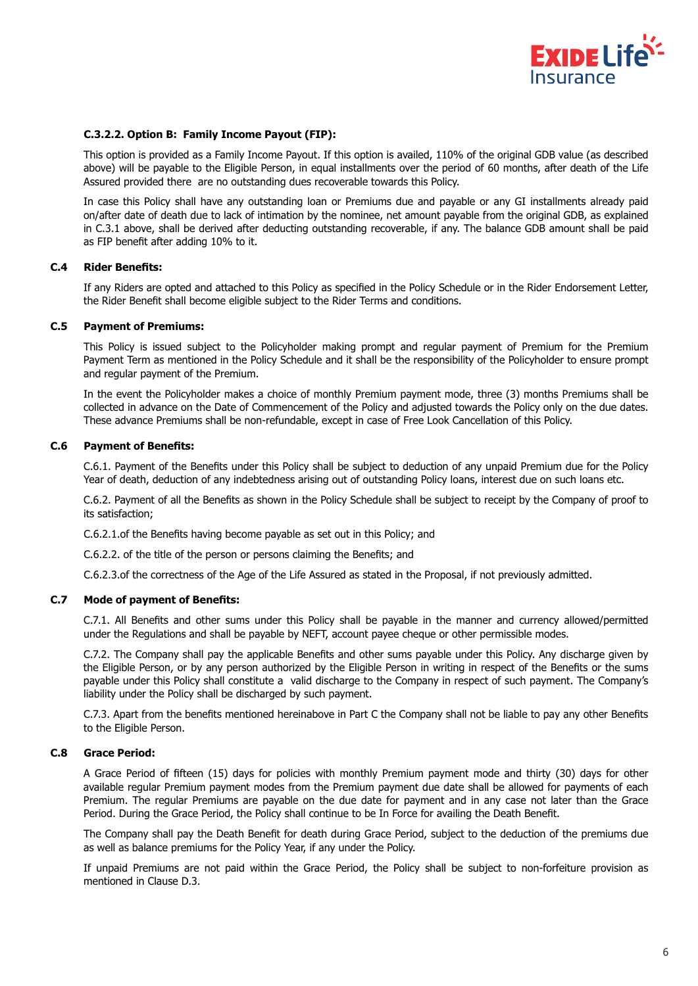

#### **C.3.2.2. Option B: Family Income Payout (FIP):**

This option is provided as a Family Income Payout. If this option is availed, 110% of the original GDB value (as described above) will be payable to the Eligible Person, in equal installments over the period of 60 months, after death of the Life Assured provided there are no outstanding dues recoverable towards this Policy.

In case this Policy shall have any outstanding loan or Premiums due and payable or any GI installments already paid on/after date of death due to lack of intimation by the nominee, net amount payable from the original GDB, as explained in C.3.1 above, shall be derived after deducting outstanding recoverable, if any. The balance GDB amount shall be paid as FIP benefit after adding 10% to it.

#### **C.4 Rider Benefits:**

If any Riders are opted and attached to this Policy as specified in the Policy Schedule or in the Rider Endorsement Letter, the Rider Benefit shall become eligible subject to the Rider Terms and conditions.

#### **C.5 Payment of Premiums:**

This Policy is issued subject to the Policyholder making prompt and regular payment of Premium for the Premium Payment Term as mentioned in the Policy Schedule and it shall be the responsibility of the Policyholder to ensure prompt and regular payment of the Premium.

In the event the Policyholder makes a choice of monthly Premium payment mode, three (3) months Premiums shall be collected in advance on the Date of Commencement of the Policy and adjusted towards the Policy only on the due dates. These advance Premiums shall be non-refundable, except in case of Free Look Cancellation of this Policy.

#### **C.6 Payment of Benefits:**

C.6.1. Payment of the Benefits under this Policy shall be subject to deduction of any unpaid Premium due for the Policy Year of death, deduction of any indebtedness arising out of outstanding Policy loans, interest due on such loans etc.

C.6.2. Payment of all the Benefits as shown in the Policy Schedule shall be subject to receipt by the Company of proof to its satisfaction;

C.6.2.1. of the Benefits having become payable as set out in this Policy; and

C.6.2.2. of the title of the person or persons claiming the Benefits; and

C.6.2.3. of the correctness of the Age of the Life Assured as stated in the Proposal, if not previously admitted.

# **C.7 Mode of payment of Benefits:**

C.7.1. All Benefits and other sums under this Policy shall be payable in the manner and currency allowed/permitted under the Regulations and shall be payable by NEFT, account payee cheque or other permissible modes.

C.7.2. The Company shall pay the applicable Benefits and other sums payable under this Policy. Any discharge given by the Eligible Person, or by any person authorized by the Eligible Person in writing in respect of the Benefits or the sums payable under this Policy shall constitute a valid discharge to the Company in respect of such payment. The Company's liability under the Policy shall be discharged by such payment.

C.7.3. Apart from the benefits mentioned hereinabove in Part C the Company shall not be liable to pay any other Benefits to the Eligible Person.

# **C.8 Grace Period:**

A Grace Period of fifteen (15) days for policies with monthly Premium payment mode and thirty (30) days for other available regular Premium payment modes from the Premium payment due date shall be allowed for payments of each Premium. The regular Premiums are payable on the due date for payment and in any case not later than the Grace Period. During the Grace Period, the Policy shall continue to be In Force for availing the Death Benefit.

The Company shall pay the Death Benefit for death during Grace Period, subject to the deduction of the premiums due as well as balance premiums for the Policy Year, if any under the Policy.

If unpaid Premiums are not paid within the Grace Period, the Policy shall be subject to non-forfeiture provision as mentioned in Clause D.3.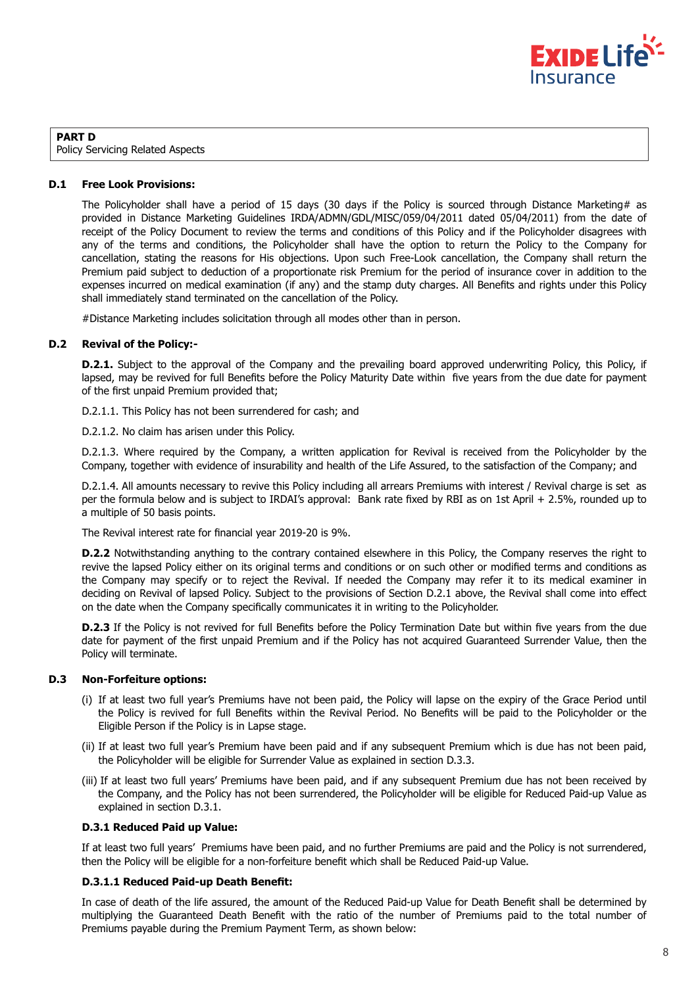

# **PART D** Policy Servicing Related Aspects

# **D.1 Free Look Provisions:**

The Policyholder shall have a period of 15 days (30 days if the Policy is sourced through Distance Marketing# as provided in Distance Marketing Guidelines IRDA/ADMN/GDL/MISC/059/04/2011 dated 05/04/2011) from the date of receipt of the Policy Document to review the terms and conditions of this Policy and if the Policyholder disagrees with any of the terms and conditions, the Policyholder shall have the option to return the Policy to the Company for cancellation, stating the reasons for His objections. Upon such Free-Look cancellation, the Company shall return the Premium paid subject to deduction of a proportionate risk Premium for the period of insurance cover in addition to the expenses incurred on medical examination (if any) and the stamp duty charges. All Benefits and rights under this Policy shall immediately stand terminated on the cancellation of the Policy.

#Distance Marketing includes solicitation through all modes other than in person.

#### **D.2 Revival of the Policy:-**

**D.2.1.** Subject to the approval of the Company and the prevailing board approved underwriting Policy, this Policy, if lapsed, may be revived for full Benefits before the Policy Maturity Date within five years from the due date for payment of the first unpaid Premium provided that;

D.2.1.1. This Policy has not been surrendered for cash; and

D.2.1.2. No claim has arisen under this Policy.

D.2.1.3. Where required by the Company, a written application for Revival is received from the Policyholder by the Company, together with evidence of insurability and health of the Life Assured, to the satisfaction of the Company; and

D.2.1.4. All amounts necessary to revive this Policy including all arrears Premiums with interest / Revival charge is set as per the formula below and is subject to IRDAI's approval: Bank rate fixed by RBI as on 1st April + 2.5%, rounded up to a multiple of 50 basis points.

The Revival interest rate for financial year 2019-20 is 9%.

**D.2.2** Notwithstanding anything to the contrary contained elsewhere in this Policy, the Company reserves the right to revive the lapsed Policy either on its original terms and conditions or on such other or modified terms and conditions as the Company may specify or to reject the Revival. If needed the Company may refer it to its medical examiner in deciding on Revival of lapsed Policy. Subject to the provisions of Section D.2.1 above, the Revival shall come into effect on the date when the Company specifically communicates it in writing to the Policyholder.

**D.2.3** If the Policy is not revived for full Benefits before the Policy Termination Date but within five years from the due date for payment of the first unpaid Premium and if the Policy has not acquired Guaranteed Surrender Value, then the Policy will terminate.

#### **D.3 Non-Forfeiture options:**

- (i) If at least two full year's Premiums have not been paid, the Policy will lapse on the expiry of the Grace Period until the Policy is revived for full Benefits within the Revival Period. No Benefits will be paid to the Policyholder or the Eligible Person if the Policy is in Lapse stage.
- (ii) If at least two full year's Premium have been paid and if any subsequent Premium which is due has not been paid, the Policyholder will be eligible for Surrender Value as explained in section D.3.3.
- (iii) If at least two full years' Premiums have been paid, and if any subsequent Premium due has not been received by the Company, and the Policy has not been surrendered, the Policyholder will be eligible for Reduced Paid-up Value as explained in section D.3.1.

#### **D.3.1 Reduced Paid up Value:**

If at least two full years' Premiums have been paid, and no further Premiums are paid and the Policy is not surrendered, then the Policy will be eligible for a non-forfeiture benefit which shall be Reduced Paid-up Value.

#### **D.3.1.1 Reduced Paid-up Death Benefit:**

In case of death of the life assured, the amount of the Reduced Paid-up Value for Death Benefit shall be determined by multiplying the Guaranteed Death Benefit with the ratio of the number of Premiums paid to the total number of Premiums payable during the Premium Payment Term, as shown below: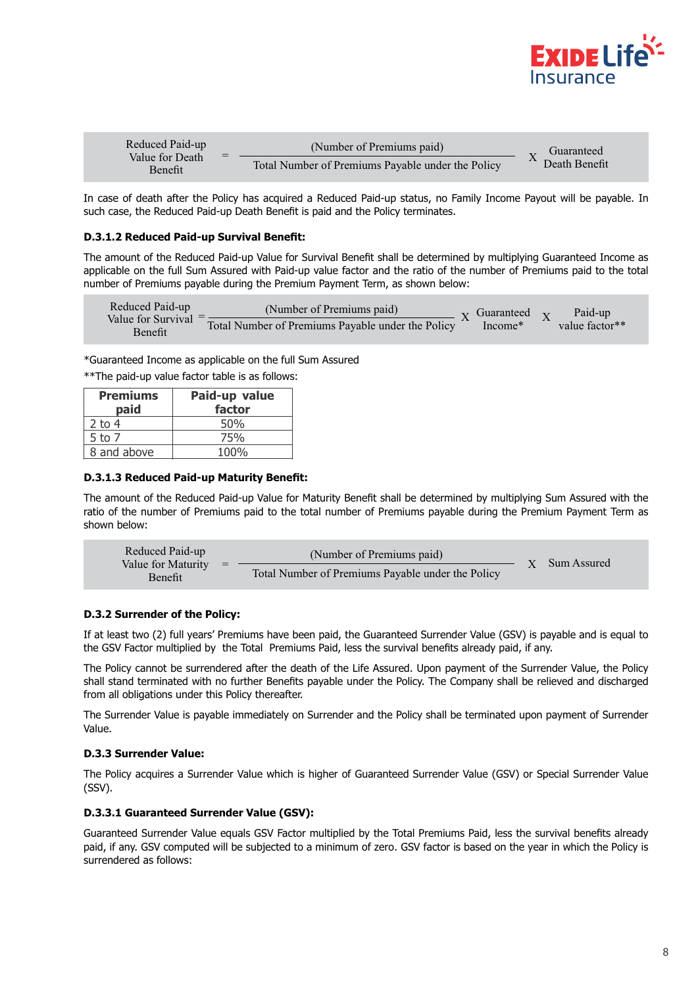

| Reduced Paid-up                   | (Number of Premiums paid)                         | Guaranteed                 |
|-----------------------------------|---------------------------------------------------|----------------------------|
| Value for Death<br><b>Benefit</b> | Total Number of Premiums Payable under the Policy | <sup>A</sup> Death Benefit |

In case of death after the Policy has acquired a Reduced Paid-up status, no Family Income Payout will be payable. In such case, the Reduced Paid-up Death Benefit is paid and the Policy terminates.

# **D.3.1.2 Reduced Paid-up Survival Benefit:**

The amount of the Reduced Paid-up Value for Survival Benefit shall be determined by multiplying Guaranteed Income as applicable on the full Sum Assured with Paid-up value factor and the ratio of the number of Premiums paid to the total number of Premiums payable during the Premium Payment Term, as shown below:

| Reduced Paid-up               | (Number of Premiums paid)                         | $\mathbf{v}$ Guaranteed | Paid-up        |
|-------------------------------|---------------------------------------------------|-------------------------|----------------|
| Value for Survival<br>Benefit | Total Number of Premiums Payable under the Policy | Income*                 | value factor** |
|                               |                                                   |                         |                |

\*Guaranteed Income as applicable on the full Sum Assured

\*\*The paid-up value factor table is as follows:

| <b>Premiums</b> | Paid-up value   |
|-----------------|-----------------|
| paid            | factor          |
| $2$ to 4        | 50 <sub>%</sub> |
| 5 to 7          | <b>75%</b>      |
| 8 and above     | $100\%$         |

# **D.3.1.3 Reduced Paid-up Maturity Benefit:**

The amount of the Reduced Paid-up Value for Maturity Benefit shall be determined by multiplying Sum Assured with the ratio of the number of Premiums paid to the total number of Premiums payable during the Premium Payment Term as shown below:

| Reduced Paid-up               |     | (Number of Premiums paid)                         | Sum Assured |
|-------------------------------|-----|---------------------------------------------------|-------------|
| Value for Maturity<br>Benefit | $=$ | Total Number of Premiums Payable under the Policy |             |

# **D.3.2 Surrender of the Policy:**

If at least two (2) full years' Premiums have been paid, the Guaranteed Surrender Value (GSV) is payable and is equal to the GSV Factor multiplied by the Total Premiums Paid, less the survival benefits already paid, if any.

The Policy cannot be surrendered after the death of the Life Assured. Upon payment of the Surrender Value, the Policy shall stand terminated with no further Benefits payable under the Policy. The Company shall be relieved and discharged from all obligations under this Policy thereafter.

The Surrender Value is payable immediately on Surrender and the Policy shall be terminated upon payment of Surrender Value.

# **D.3.3 Surrender Value:**

The Policy acquires a Surrender Value which is higher of Guaranteed Surrender Value (GSV) or Special Surrender Value (SSV).

#### **D.3.3.1 Guaranteed Surrender Value (GSV):**

Guaranteed Surrender Value equals GSV Factor multiplied by the Total Premiums Paid, less the survival benefits already paid, if any. GSV computed will be subjected to a minimum of zero. GSV factor is based on the year in which the Policy is surrendered as follows: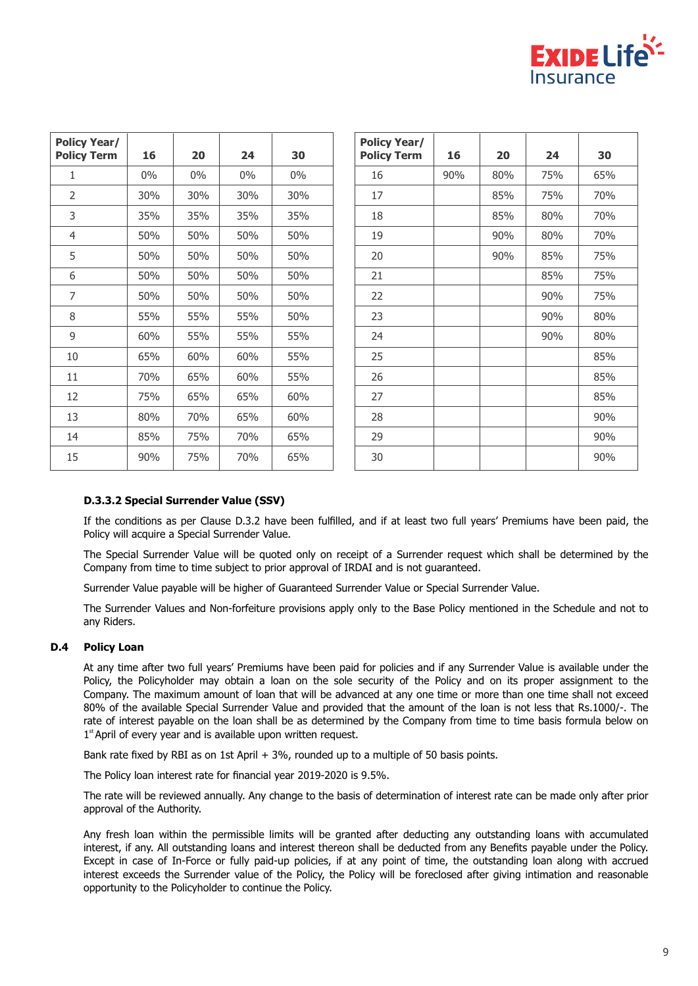

| <b>Policy Year/</b><br><b>Policy Term</b> | 16    | 20    | 24    | 30    |  | <b>Policy Year/</b><br><b>Policy Term</b> | 16  | 20  | 24  |
|-------------------------------------------|-------|-------|-------|-------|--|-------------------------------------------|-----|-----|-----|
| 1                                         | $0\%$ | $0\%$ | $0\%$ | $0\%$ |  | 16                                        | 90% | 80% | 75% |
| $\overline{2}$                            | 30%   | 30%   | 30%   | 30%   |  | 17                                        |     | 85% | 75% |
| 3                                         | 35%   | 35%   | 35%   | 35%   |  | 18                                        |     | 85% | 80% |
| 4                                         | 50%   | 50%   | 50%   | 50%   |  | 19                                        |     | 90% | 80% |
| 5                                         | 50%   | 50%   | 50%   | 50%   |  | 20                                        |     | 90% | 85% |
| 6                                         | 50%   | 50%   | 50%   | 50%   |  | 21                                        |     |     | 85% |
| 7                                         | 50%   | 50%   | 50%   | 50%   |  | 22                                        |     |     | 90% |
| 8                                         | 55%   | 55%   | 55%   | 50%   |  | 23                                        |     |     | 90% |
| 9                                         | 60%   | 55%   | 55%   | 55%   |  | 24                                        |     |     | 90% |
| 10                                        | 65%   | 60%   | 60%   | 55%   |  | 25                                        |     |     |     |
| 11                                        | 70%   | 65%   | 60%   | 55%   |  | 26                                        |     |     |     |
| 12                                        | 75%   | 65%   | 65%   | 60%   |  | 27                                        |     |     |     |
| 13                                        | 80%   | 70%   | 65%   | 60%   |  | 28                                        |     |     |     |
| 14                                        | 85%   | 75%   | 70%   | 65%   |  | 29                                        |     |     |     |
| 15                                        | 90%   | 75%   | 70%   | 65%   |  | 30                                        |     |     |     |

# **D.3.3.2 Special Surrender Value (SSV)**

If the conditions as per Clause D.3.2 have been fulfilled, and if at least two full years' Premiums have been paid, the Policy will acquire a Special Surrender Value.

The Special Surrender Value will be quoted only on receipt of a Surrender request which shall be determined by the Company from time to time subject to prior approval of IRDAI and is not guaranteed.

Surrender Value payable will be higher of Guaranteed Surrender Value or Special Surrender Value.

The Surrender Values and Non-forfeiture provisions apply only to the Base Policy mentioned in the Schedule and not to any Riders.

# **D.4 Policy Loan**

At any time after two full years' Premiums have been paid for policies and if any Surrender Value is available under the Policy, the Policyholder may obtain a loan on the sole security of the Policy and on its proper assignment to the Company. The maximum amount of loan that will be advanced at any one time or more than one time shall not exceed 80% of the available Special Surrender Value and provided that the amount of the loan is not less that Rs.1000/-. The rate of interest payable on the loan shall be as determined by the Company from time to time basis formula below on  $1<sup>st</sup>$  April of every year and is available upon written request.

Bank rate fixed by RBI as on 1st April + 3%, rounded up to a multiple of 50 basis points.

The Policy loan interest rate for financial year 2019-2020 is 9.5%.

The rate will be reviewed annually. Any change to the basis of determination of interest rate can be made only after prior approval of the Authority.

Any fresh loan within the permissible limits will be granted after deducting any outstanding loans with accumulated interest, if any. All outstanding loans and interest thereon shall be deducted from any Benefits payable under the Policy. Except in case of In-Force or fully paid-up policies, if at any point of time, the outstanding loan along with accrued interest exceeds the Surrender value of the Policy, the Policy will be foreclosed after giving intimation and reasonable opportunity to the Policyholder to continue the Policy.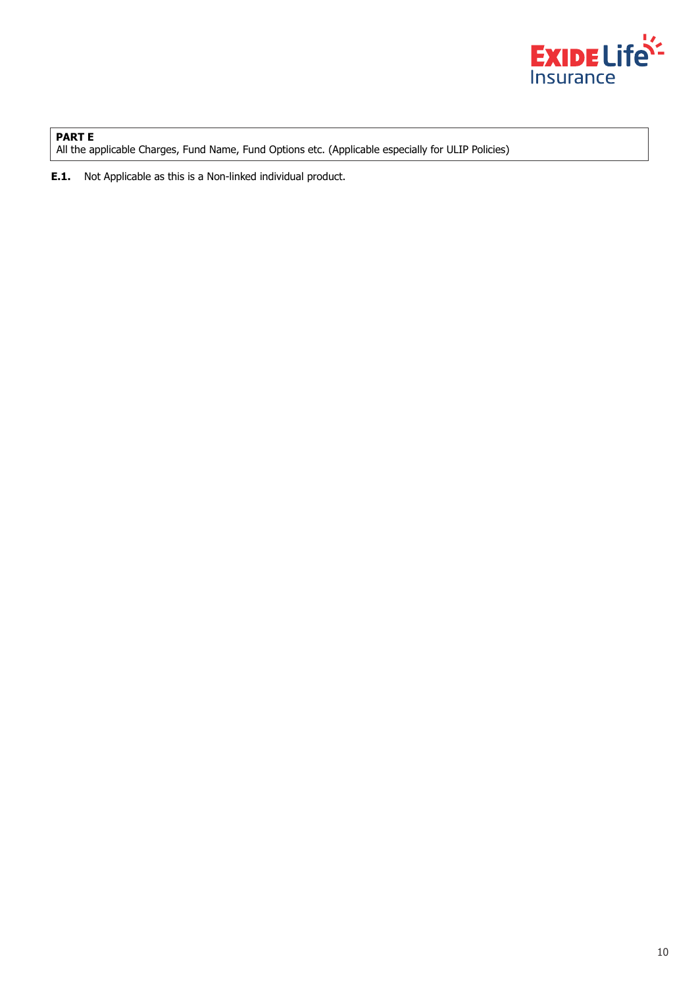

**PART E** All the applicable Charges, Fund Name, Fund Options etc. (Applicable especially for ULIP Policies)

**E.1.** Not Applicable as this is a Non-linked individual product.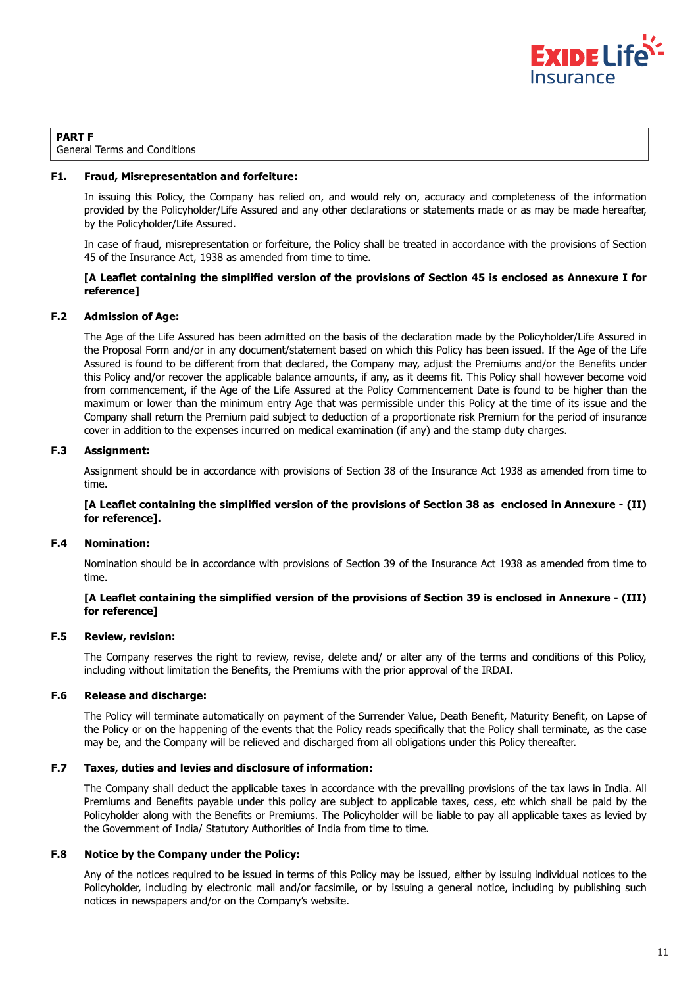

#### **PART F** General Terms and Conditions

#### **F1. Fraud, Misrepresentation and forfeiture:**

In issuing this Policy, the Company has relied on, and would rely on, accuracy and completeness of the information provided by the Policyholder/Life Assured and any other declarations or statements made or as may be made hereafter, by the Policyholder/Life Assured.

In case of fraud, misrepresentation or forfeiture, the Policy shall be treated in accordance with the provisions of Section 45 of the Insurance Act, 1938 as amended from time to time.

# **[A Leaflet containing the simplified version of the provisions of Section 45 is enclosed as Annexure I for reference]**

# **F.2 Admission of Age:**

The Age of the Life Assured has been admitted on the basis of the declaration made by the Policyholder/Life Assured in the Proposal Form and/or in any document/statement based on which this Policy has been issued. If the Age of the Life Assured is found to be different from that declared, the Company may, adjust the Premiums and/or the Benefits under this Policy and/or recover the applicable balance amounts, if any, as it deems fit. This Policy shall however become void from commencement, if the Age of the Life Assured at the Policy Commencement Date is found to be higher than the maximum or lower than the minimum entry Age that was permissible under this Policy at the time of its issue and the Company shall return the Premium paid subject to deduction of a proportionate risk Premium for the period of insurance cover in addition to the expenses incurred on medical examination (if any) and the stamp duty charges.

# **F.3 Assignment:**

Assignment should be in accordance with provisions of Section 38 of the Insurance Act 1938 as amended from time to time.

# **[A Leaflet containing the simplified version of the provisions of Section 38 as enclosed in Annexure - (II) for reference].**

# **F.4 Nomination:**

Nomination should be in accordance with provisions of Section 39 of the Insurance Act 1938 as amended from time to time.

# **[A Leaflet containing the simplified version of the provisions of Section 39 is enclosed in Annexure - (III) for reference]**

#### **F.5 Review, revision:**

The Company reserves the right to review, revise, delete and/ or alter any of the terms and conditions of this Policy, including without limitation the Benefits, the Premiums with the prior approval of the IRDAI.

#### **F.6 Release and discharge:**

The Policy will terminate automatically on payment of the Surrender Value, Death Benefit, Maturity Benefit, on Lapse of the Policy or on the happening of the events that the Policy reads specifically that the Policy shall terminate, as the case may be, and the Company will be relieved and discharged from all obligations under this Policy thereafter.

#### **F.7 Taxes, duties and levies and disclosure of information:**

The Company shall deduct the applicable taxes in accordance with the prevailing provisions of the tax laws in India. All Premiums and Benefits payable under this policy are subject to applicable taxes, cess, etc which shall be paid by the Policyholder along with the Benefits or Premiums. The Policyholder will be liable to pay all applicable taxes as levied by the Government of India/ Statutory Authorities of India from time to time.

#### **F.8 Notice by the Company under the Policy:**

Any of the notices required to be issued in terms of this Policy may be issued, either by issuing individual notices to the Policyholder, including by electronic mail and/or facsimile, or by issuing a general notice, including by publishing such notices in newspapers and/or on the Company's website.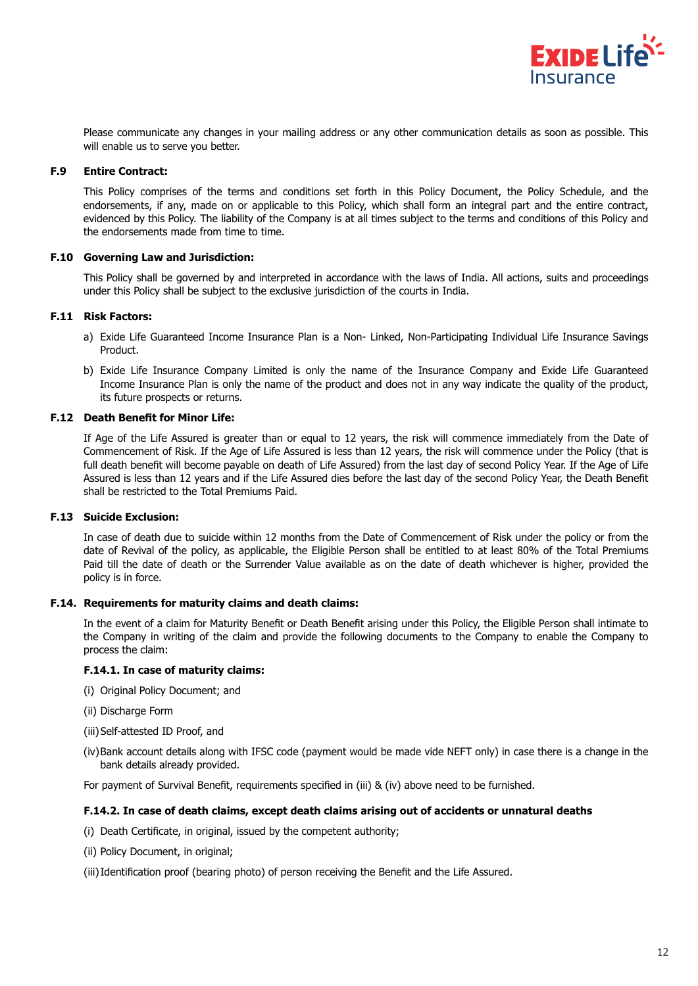

Please communicate any changes in your mailing address or any other communication details as soon as possible. This will enable us to serve you better.

# **F.9 Entire Contract:**

This Policy comprises of the terms and conditions set forth in this Policy Document, the Policy Schedule, and the endorsements, if any, made on or applicable to this Policy, which shall form an integral part and the entire contract, evidenced by this Policy. The liability of the Company is at all times subject to the terms and conditions of this Policy and the endorsements made from time to time.

# **F.10 Governing Law and Jurisdiction:**

This Policy shall be governed by and interpreted in accordance with the laws of India. All actions, suits and proceedings under this Policy shall be subject to the exclusive jurisdiction of the courts in India.

# **F.11 Risk Factors:**

- a) Exide Life Guaranteed Income Insurance Plan is a Non- Linked, Non-Participating Individual Life Insurance Savings Product.
- b) Exide Life Insurance Company Limited is only the name of the Insurance Company and Exide Life Guaranteed Income Insurance Plan is only the name of the product and does not in any way indicate the quality of the product, its future prospects or returns.

# **F.12 Death Benefit for Minor Life:**

If Age of the Life Assured is greater than or equal to 12 years, the risk will commence immediately from the Date of Commencement of Risk. If the Age of Life Assured is less than 12 years, the risk will commence under the Policy (that is full death benefit will become payable on death of Life Assured) from the last day of second Policy Year. If the Age of Life Assured is less than 12 years and if the Life Assured dies before the last day of the second Policy Year, the Death Benefit shall be restricted to the Total Premiums Paid.

#### **F.13 Suicide Exclusion:**

In case of death due to suicide within 12 months from the Date of Commencement of Risk under the policy or from the date of Revival of the policy, as applicable, the Eligible Person shall be entitled to at least 80% of the Total Premiums Paid till the date of death or the Surrender Value available as on the date of death whichever is higher, provided the policy is in force.

# **F.14. Requirements for maturity claims and death claims:**

In the event of a claim for Maturity Benefit or Death Benefit arising under this Policy, the Eligible Person shall intimate to the Company in writing of the claim and provide the following documents to the Company to enable the Company to process the claim:

#### **F.14.1. In case of maturity claims:**

- (i) Original Policy Document; and
- (ii) Discharge Form
- (iii) Self-attested ID Proof, and
- (iv) Bank account details along with IFSC code (payment would be made vide NEFT only) in case there is a change in the bank details already provided.

For payment of Survival Benefit, requirements specified in (iii) & (iv) above need to be furnished.

#### **F.14.2. In case of death claims, except death claims arising out of accidents or unnatural deaths**

- (i) Death Certificate, in original, issued by the competent authority;
- (ii) Policy Document, in original;
- (iii) Identification proof (bearing photo) of person receiving the Benefit and the Life Assured.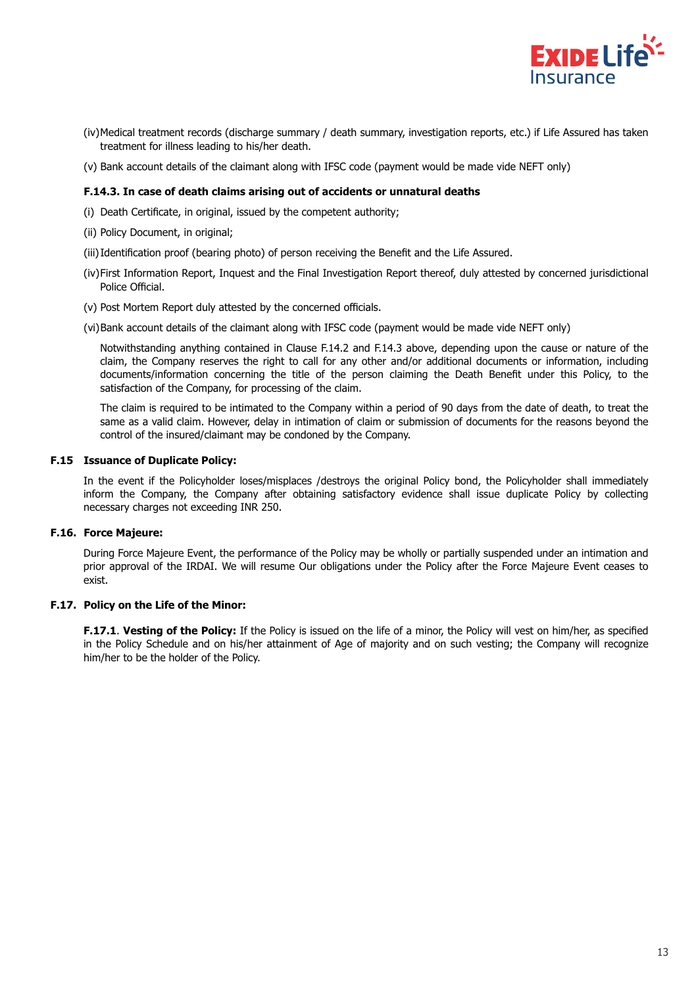

- (iv) Medical treatment records (discharge summary / death summary, investigation reports, etc.) if Life Assured has taken treatment for illness leading to his/her death.
- (v) Bank account details of the claimant along with IFSC code (payment would be made vide NEFT only)

# **F.14.3. In case of death claims arising out of accidents or unnatural deaths**

- (i) Death Certificate, in original, issued by the competent authority;
- (ii) Policy Document, in original;
- (iii) Identification proof (bearing photo) of person receiving the Benefit and the Life Assured.
- (iv) First Information Report, Inquest and the Final Investigation Report thereof, duly attested by concerned jurisdictional Police Official.
- (v) Post Mortem Report duly attested by the concerned officials.
- (vi) Bank account details of the claimant along with IFSC code (payment would be made vide NEFT only)

Notwithstanding anything contained in Clause F.14.2 and F.14.3 above, depending upon the cause or nature of the claim, the Company reserves the right to call for any other and/or additional documents or information, including documents/information concerning the title of the person claiming the Death Benefit under this Policy, to the satisfaction of the Company, for processing of the claim.

The claim is required to be intimated to the Company within a period of 90 days from the date of death, to treat the same as a valid claim. However, delay in intimation of claim or submission of documents for the reasons beyond the control of the insured/claimant may be condoned by the Company.

# **F.15 Issuance of Duplicate Policy:**

In the event if the Policyholder loses/misplaces /destroys the original Policy bond, the Policyholder shall immediately inform the Company, the Company after obtaining satisfactory evidence shall issue duplicate Policy by collecting necessary charges not exceeding INR 250.

# **F.16. Force Majeure:**

During Force Majeure Event, the performance of the Policy may be wholly or partially suspended under an intimation and prior approval of the IRDAI. We will resume Our obligations under the Policy after the Force Majeure Event ceases to exist.

# **F.17. Policy on the Life of the Minor:**

**F.17.1**. **Vesting of the Policy:** If the Policy is issued on the life of a minor, the Policy will vest on him/her, as specified in the Policy Schedule and on his/her attainment of Age of majority and on such vesting; the Company will recognize him/her to be the holder of the Policy.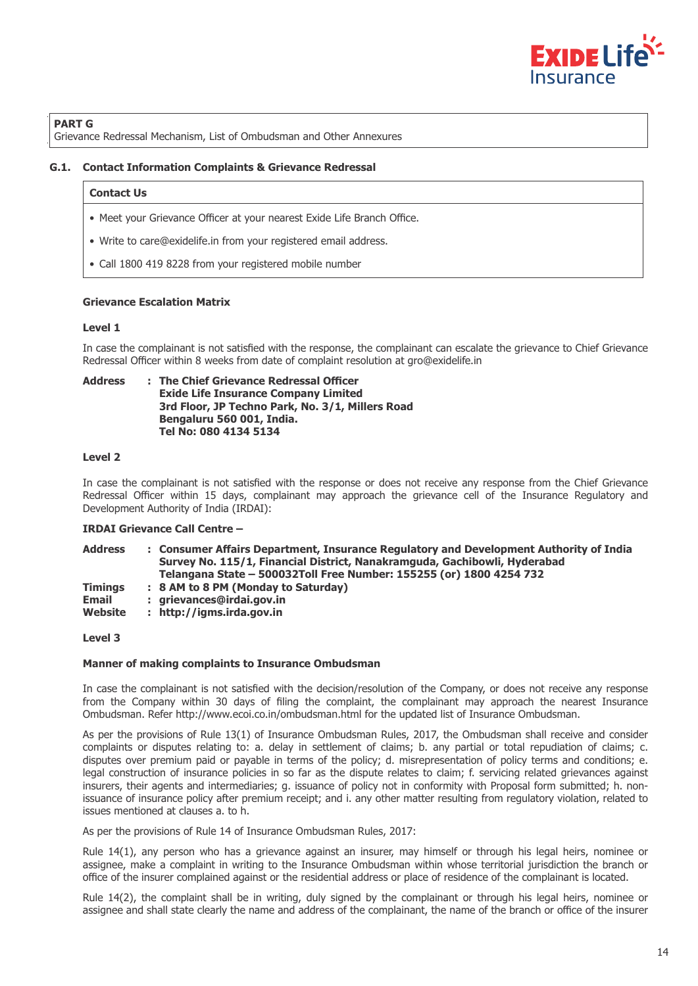

# **PART G**

Grievance Redressal Mechanism, List of Ombudsman and Other Annexures

# **G.1. Contact Information Complaints & Grievance Redressal**

#### **Contact Us**

- Meet your Grievance Officer at your nearest Exide Life Branch Office.
- Write to care@exidelife.in from your registered email address.
- Call 1800 419 8228 from your registered mobile number

#### **Grievance Escalation Matrix**

#### **Level 1**

In case the complainant is not satisfied with the response, the complainant can escalate the grievance to Chief Grievance Redressal Officer within 8 weeks from date of complaint resolution at gro@exidelife.in

#### **Address : The Chief Grievance Redressal Officer Exide Life Insurance Company Limited 3rd Floor, JP Techno Park, No. 3/1, Millers Road Bengaluru 560 001, India. Tel No: 080 4134 5134**

#### **Level 2**

In case the complainant is not satisfied with the response or does not receive any response from the Chief Grievance Redressal Officer within 15 days, complainant may approach the grievance cell of the Insurance Regulatory and Development Authority of India (IRDAI):

#### **IRDAI Grievance Call Centre –**

# **Address : Consumer Affairs Department, Insurance Regulatory and Development Authority of India Survey No. 115/1, Financial District, Nanakramguda, Gachibowli, Hyderabad Telangana State – 500032Toll Free Number: 155255 (or) 1800 4254 732**

- **Timings : 8 AM to 8 PM (Monday to Saturday)**
- **Email : grievances@irdai.gov.in**
- **Website : http://igms.irda.gov.in**

# **Level 3**

#### **Manner of making complaints to Insurance Ombudsman**

In case the complainant is not satisfied with the decision/resolution of the Company, or does not receive any response from the Company within 30 days of filing the complaint, the complainant may approach the nearest Insurance Ombudsman. Refer http://www.ecoi.co.in/ombudsman.html for the updated list of Insurance Ombudsman.

As per the provisions of Rule 13(1) of Insurance Ombudsman Rules, 2017, the Ombudsman shall receive and consider complaints or disputes relating to: a. delay in settlement of claims; b. any partial or total repudiation of claims; c. disputes over premium paid or payable in terms of the policy; d. misrepresentation of policy terms and conditions; e. legal construction of insurance policies in so far as the dispute relates to claim; f. servicing related grievances against insurers, their agents and intermediaries; g. issuance of policy not in conformity with Proposal form submitted; h. nonissuance of insurance policy after premium receipt; and i. any other matter resulting from regulatory violation, related to issues mentioned at clauses a. to h.

As per the provisions of Rule 14 of Insurance Ombudsman Rules, 2017:

Rule 14(1), any person who has a grievance against an insurer, may himself or through his legal heirs, nominee or assignee, make a complaint in writing to the Insurance Ombudsman within whose territorial jurisdiction the branch or office of the insurer complained against or the residential address or place of residence of the complainant is located.

Rule 14(2), the complaint shall be in writing, duly signed by the complainant or through his legal heirs, nominee or assignee and shall state clearly the name and address of the complainant, the name of the branch or office of the insurer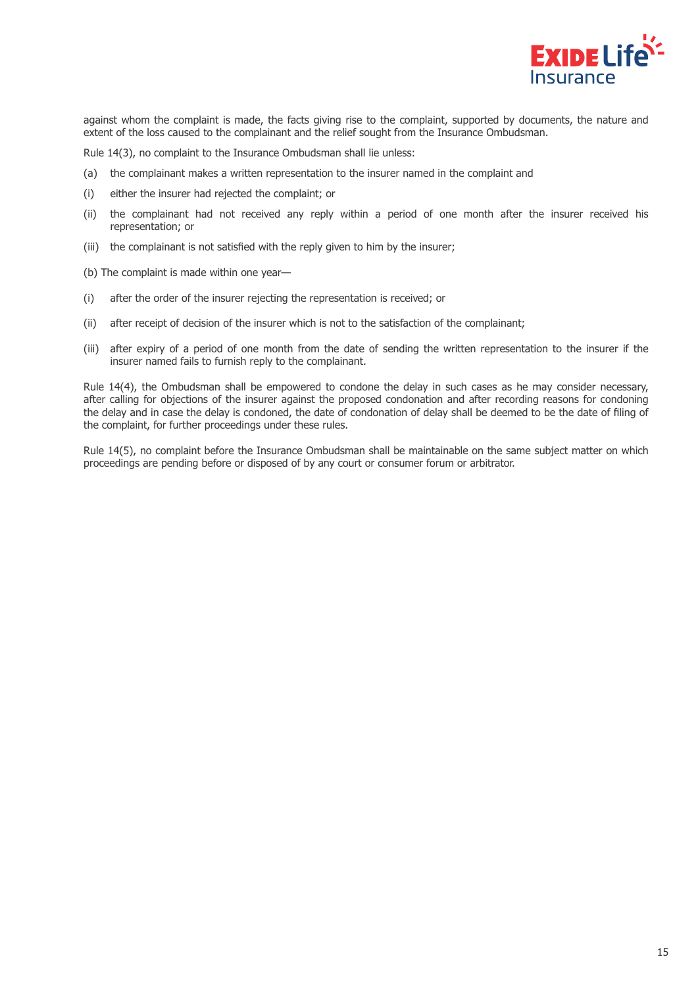

against whom the complaint is made, the facts giving rise to the complaint, supported by documents, the nature and extent of the loss caused to the complainant and the relief sought from the Insurance Ombudsman.

Rule 14(3), no complaint to the Insurance Ombudsman shall lie unless:

- (a) the complainant makes a written representation to the insurer named in the complaint and
- (i) either the insurer had rejected the complaint; or
- (ii) the complainant had not received any reply within a period of one month after the insurer received his representation; or
- (iii) the complainant is not satisfied with the reply given to him by the insurer;
- (b) The complaint is made within one year—
- (i) after the order of the insurer rejecting the representation is received; or
- (ii) after receipt of decision of the insurer which is not to the satisfaction of the complainant;
- (iii) after expiry of a period of one month from the date of sending the written representation to the insurer if the insurer named fails to furnish reply to the complainant.

Rule 14(4), the Ombudsman shall be empowered to condone the delay in such cases as he may consider necessary, after calling for objections of the insurer against the proposed condonation and after recording reasons for condoning the delay and in case the delay is condoned, the date of condonation of delay shall be deemed to be the date of filing of the complaint, for further proceedings under these rules.

Rule 14(5), no complaint before the Insurance Ombudsman shall be maintainable on the same subject matter on which proceedings are pending before or disposed of by any court or consumer forum or arbitrator.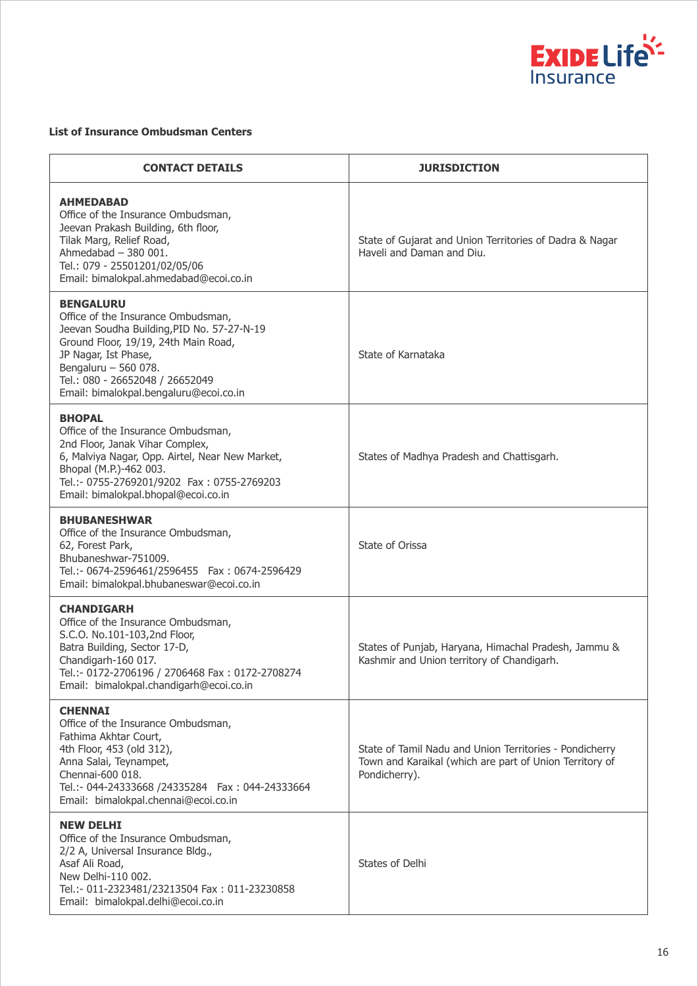

# **List of Insurance Ombudsman Centers**

| <b>CONTACT DETAILS</b>                                                                                                                                                                                                                                                    | <b>JURISDICTION</b>                                                                                                                 |
|---------------------------------------------------------------------------------------------------------------------------------------------------------------------------------------------------------------------------------------------------------------------------|-------------------------------------------------------------------------------------------------------------------------------------|
| <b>AHMEDABAD</b><br>Office of the Insurance Ombudsman,<br>Jeevan Prakash Building, 6th floor,<br>Tilak Marg, Relief Road,<br>Ahmedabad $-380001$ .<br>Tel.: 079 - 25501201/02/05/06<br>Email: bimalokpal.ahmedabad@ecoi.co.in                                             | State of Gujarat and Union Territories of Dadra & Nagar<br>Haveli and Daman and Diu.                                                |
| <b>BENGALURU</b><br>Office of the Insurance Ombudsman,<br>Jeevan Soudha Building, PID No. 57-27-N-19<br>Ground Floor, 19/19, 24th Main Road,<br>JP Nagar, Ist Phase,<br>Bengaluru - 560 078.<br>Tel.: 080 - 26652048 / 26652049<br>Email: bimalokpal.bengaluru@ecoi.co.in | State of Karnataka                                                                                                                  |
| <b>BHOPAL</b><br>Office of the Insurance Ombudsman,<br>2nd Floor, Janak Vihar Complex,<br>6, Malviya Nagar, Opp. Airtel, Near New Market,<br>Bhopal (M.P.)-462 003.<br>Tel.:- 0755-2769201/9202 Fax: 0755-2769203<br>Email: bimalokpal.bhopal@ecoi.co.in                  | States of Madhya Pradesh and Chattisgarh.                                                                                           |
| <b>BHUBANESHWAR</b><br>Office of the Insurance Ombudsman,<br>62, Forest Park,<br>Bhubaneshwar-751009.<br>Tel.:- 0674-2596461/2596455    Fax: 0674-2596429<br>Email: bimalokpal.bhubaneswar@ecoi.co.in                                                                     | State of Orissa                                                                                                                     |
| <b>CHANDIGARH</b><br>Office of the Insurance Ombudsman,<br>S.C.O. No.101-103,2nd Floor,<br>Batra Building, Sector 17-D,<br>Chandigarh-160 017.<br>Tel.:- 0172-2706196 / 2706468 Fax: 0172-2708274<br>Email: bimalokpal.chandigarh@ecoi.co.in                              | States of Punjab, Haryana, Himachal Pradesh, Jammu &<br>Kashmir and Union territory of Chandigarh.                                  |
| <b>CHENNAI</b><br>Office of the Insurance Ombudsman,<br>Fathima Akhtar Court,<br>4th Floor, 453 (old 312),<br>Anna Salai, Teynampet,<br>Chennai-600 018.<br>Tel.:- 044-24333668 /24335284    Fax: 044-24333664<br>Email: bimalokpal.chennai@ecoi.co.in                    | State of Tamil Nadu and Union Territories - Pondicherry<br>Town and Karaikal (which are part of Union Territory of<br>Pondicherry). |
| <b>NEW DELHI</b><br>Office of the Insurance Ombudsman,<br>2/2 A, Universal Insurance Bldg.,<br>Asaf Ali Road,<br>New Delhi-110 002.<br>Tel.:- 011-2323481/23213504 Fax: 011-23230858<br>Email: bimalokpal.delhi@ecoi.co.in                                                | States of Delhi                                                                                                                     |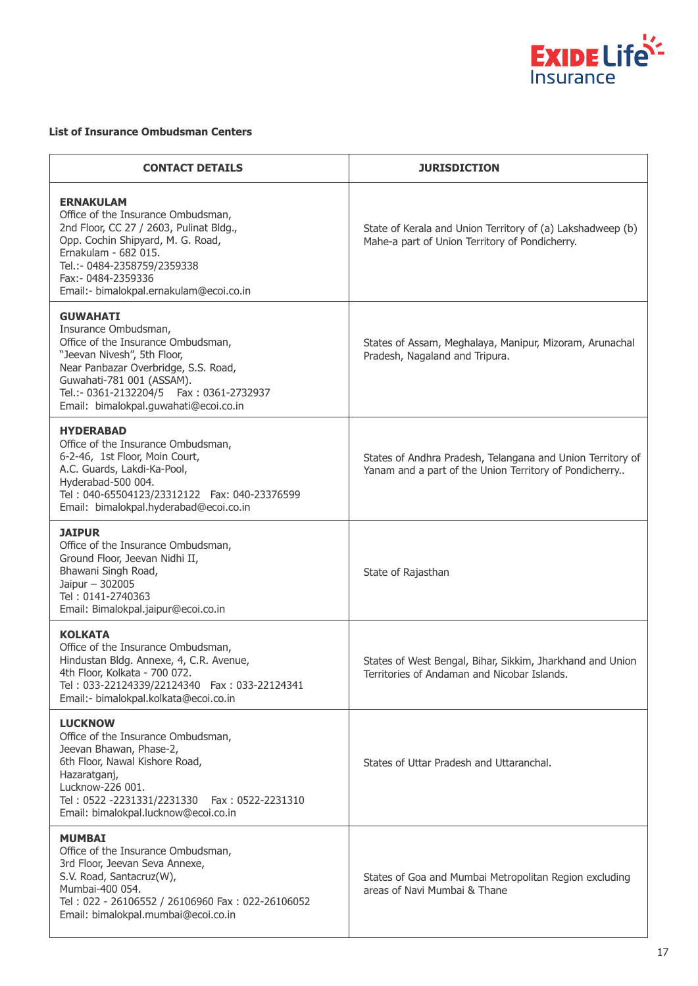

# **List of Insurance Ombudsman Centers**

| <b>CONTACT DETAILS</b>                                                                                                                                                                                                                                                   | <b>JURISDICTION</b>                                                                                                  |
|--------------------------------------------------------------------------------------------------------------------------------------------------------------------------------------------------------------------------------------------------------------------------|----------------------------------------------------------------------------------------------------------------------|
| <b>ERNAKULAM</b><br>Office of the Insurance Ombudsman,<br>2nd Floor, CC 27 / 2603, Pulinat Bldg.,<br>Opp. Cochin Shipyard, M. G. Road,<br>Ernakulam - 682 015.<br>Tel.:- 0484-2358759/2359338<br>Fax:- 0484-2359336<br>Email:- bimalokpal.ernakulam@ecoi.co.in           | State of Kerala and Union Territory of (a) Lakshadweep (b)<br>Mahe-a part of Union Territory of Pondicherry.         |
| <b>GUWAHATI</b><br>Insurance Ombudsman,<br>Office of the Insurance Ombudsman,<br>"Jeevan Nivesh", 5th Floor,<br>Near Panbazar Overbridge, S.S. Road,<br>Guwahati-781 001 (ASSAM).<br>Tel.:- 0361-2132204/5    Fax: 0361-2732937<br>Email: bimalokpal.guwahati@ecoi.co.in | States of Assam, Meghalaya, Manipur, Mizoram, Arunachal<br>Pradesh, Nagaland and Tripura.                            |
| <b>HYDERABAD</b><br>Office of the Insurance Ombudsman,<br>6-2-46, 1st Floor, Moin Court,<br>A.C. Guards, Lakdi-Ka-Pool,<br>Hyderabad-500 004.<br>Tel: 040-65504123/23312122    Fax: 040-23376599<br>Email: bimalokpal.hyderabad@ecoi.co.in                               | States of Andhra Pradesh, Telangana and Union Territory of<br>Yanam and a part of the Union Territory of Pondicherry |
| <b>JAIPUR</b><br>Office of the Insurance Ombudsman,<br>Ground Floor, Jeevan Nidhi II,<br>Bhawani Singh Road,<br>Jaipur - 302005<br>Tel: 0141-2740363<br>Email: Bimalokpal.jaipur@ecoi.co.in                                                                              | State of Rajasthan                                                                                                   |
| <b>KOLKATA</b><br>Office of the Insurance Ombudsman,<br>Hindustan Bldg. Annexe, 4, C.R. Avenue,<br>4th Floor, Kolkata - 700 072.<br>Tel: 033-22124339/22124340    Fax: 033-22124341<br>Email:- bimalokpal.kolkata@ecoi.co.in                                             | States of West Bengal, Bihar, Sikkim, Jharkhand and Union<br>Territories of Andaman and Nicobar Islands.             |
| <b>LUCKNOW</b><br>Office of the Insurance Ombudsman,<br>Jeevan Bhawan, Phase-2,<br>6th Floor, Nawal Kishore Road,<br>Hazaratganj,<br>Lucknow-226 001.<br>Tel: 0522 -2231331/2231330<br>Fax: 0522-2231310<br>Email: bimalokpal.lucknow@ecoi.co.in                         | States of Uttar Pradesh and Uttaranchal.                                                                             |
| <b>MUMBAI</b><br>Office of the Insurance Ombudsman,<br>3rd Floor, Jeevan Seva Annexe,<br>S.V. Road, Santacruz(W),<br>Mumbai-400 054.<br>Tel: 022 - 26106552 / 26106960 Fax: 022-26106052<br>Email: bimalokpal.mumbai@ecoi.co.in                                          | States of Goa and Mumbai Metropolitan Region excluding<br>areas of Navi Mumbai & Thane                               |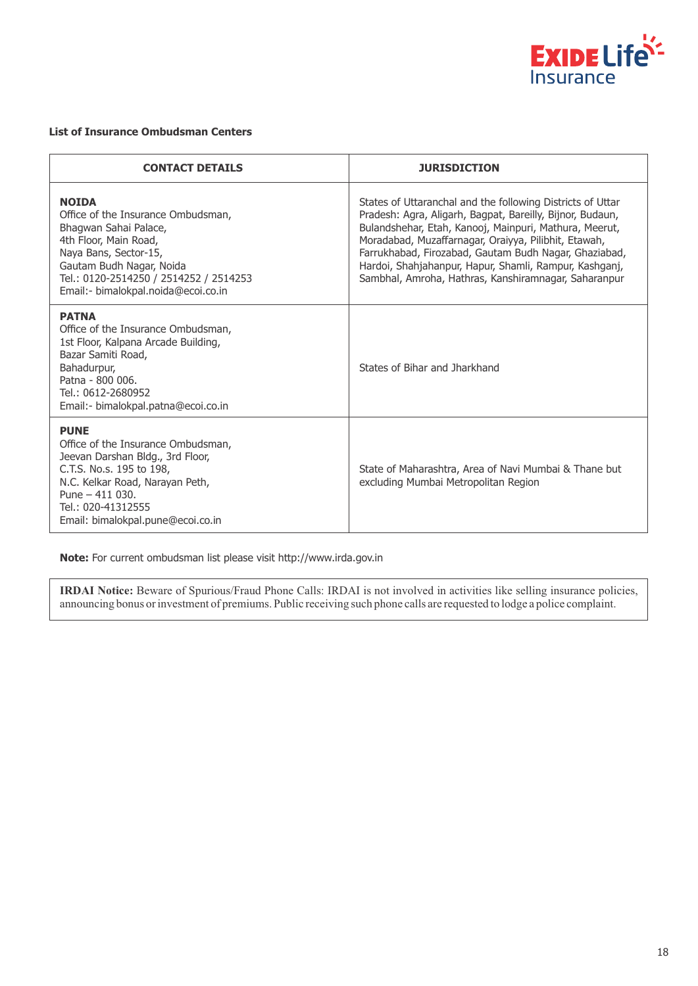

# **List of Insurance Ombudsman Centers**

| <b>CONTACT DETAILS</b>                                                                                                                                                                                                                     | <b>JURISDICTION</b>                                                                                                                                                                                                                                                                                                                                                                                                  |
|--------------------------------------------------------------------------------------------------------------------------------------------------------------------------------------------------------------------------------------------|----------------------------------------------------------------------------------------------------------------------------------------------------------------------------------------------------------------------------------------------------------------------------------------------------------------------------------------------------------------------------------------------------------------------|
| <b>NOIDA</b><br>Office of the Insurance Ombudsman,<br>Bhagwan Sahai Palace,<br>4th Floor, Main Road,<br>Naya Bans, Sector-15,<br>Gautam Budh Nagar, Noida<br>Tel.: 0120-2514250 / 2514252 / 2514253<br>Email:- bimalokpal.noida@ecoi.co.in | States of Uttaranchal and the following Districts of Uttar<br>Pradesh: Agra, Aligarh, Bagpat, Bareilly, Bijnor, Budaun,<br>Bulandshehar, Etah, Kanooj, Mainpuri, Mathura, Meerut,<br>Moradabad, Muzaffarnagar, Oraiyya, Pilibhit, Etawah,<br>Farrukhabad, Firozabad, Gautam Budh Nagar, Ghaziabad,<br>Hardoi, Shahjahanpur, Hapur, Shamli, Rampur, Kashganj,<br>Sambhal, Amroha, Hathras, Kanshiramnagar, Saharanpur |
| <b>PATNA</b><br>Office of the Insurance Ombudsman,<br>1st Floor, Kalpana Arcade Building,<br>Bazar Samiti Road,<br>Bahadurpur,<br>Patna - 800 006.<br>Tel.: 0612-2680952<br>Email:- bimalokpal.patna@ecoi.co.in                            | States of Bihar and Jharkhand                                                                                                                                                                                                                                                                                                                                                                                        |
| <b>PUNE</b><br>Office of the Insurance Ombudsman,<br>Jeevan Darshan Bldg., 3rd Floor,<br>C.T.S. No.s. 195 to 198,<br>N.C. Kelkar Road, Narayan Peth,<br>Pune $-411$ 030.<br>Tel.: 020-41312555<br>Email: bimalokpal.pune@ecoi.co.in        | State of Maharashtra, Area of Navi Mumbai & Thane but<br>excluding Mumbai Metropolitan Region                                                                                                                                                                                                                                                                                                                        |

**Note:** For current ombudsman list please visit http://www.irda.gov.in

**IRDAI Notice:** Beware of Spurious/Fraud Phone Calls: IRDAI is not involved in activities like selling insurance policies, announcing bonus or investment of premiums. Public receiving such phone calls are requested to lodge a police complaint.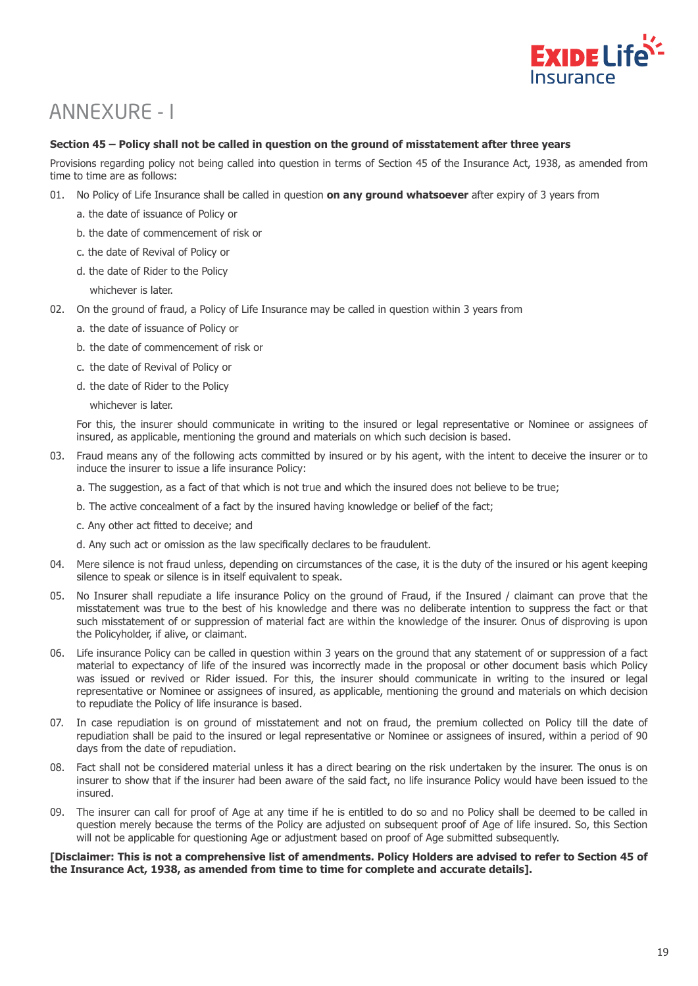

# ANNEXURE - I

# **Section 45 – Policy shall not be called in question on the ground of misstatement after three years**

Provisions regarding policy not being called into question in terms of Section 45 of the Insurance Act, 1938, as amended from time to time are as follows:

- 01. No Policy of Life Insurance shall be called in question **on any ground whatsoever** after expiry of 3 years from
	- a. the date of issuance of Policy or
	- b. the date of commencement of risk or
	- c. the date of Revival of Policy or
	- d. the date of Rider to the Policy
		- whichever is later.
- 02. On the ground of fraud, a Policy of Life Insurance may be called in question within 3 years from
	- a. the date of issuance of Policy or
	- b. the date of commencement of risk or
	- c. the date of Revival of Policy or
	- d. the date of Rider to the Policy

whichever is later.

For this, the insurer should communicate in writing to the insured or legal representative or Nominee or assignees of insured, as applicable, mentioning the ground and materials on which such decision is based.

- 03. Fraud means any of the following acts committed by insured or by his agent, with the intent to deceive the insurer or to induce the insurer to issue a life insurance Policy:
	- a. The suggestion, as a fact of that which is not true and which the insured does not believe to be true;
	- b. The active concealment of a fact by the insured having knowledge or belief of the fact;
	- c. Any other act fitted to deceive; and
	- d. Any such act or omission as the law specifically declares to be fraudulent.
- 04. Mere silence is not fraud unless, depending on circumstances of the case, it is the duty of the insured or his agent keeping silence to speak or silence is in itself equivalent to speak.
- 05. No Insurer shall repudiate a life insurance Policy on the ground of Fraud, if the Insured / claimant can prove that the misstatement was true to the best of his knowledge and there was no deliberate intention to suppress the fact or that such misstatement of or suppression of material fact are within the knowledge of the insurer. Onus of disproving is upon the Policyholder, if alive, or claimant.
- 06. Life insurance Policy can be called in question within 3 years on the ground that any statement of or suppression of a fact material to expectancy of life of the insured was incorrectly made in the proposal or other document basis which Policy was issued or revived or Rider issued. For this, the insurer should communicate in writing to the insured or legal representative or Nominee or assignees of insured, as applicable, mentioning the ground and materials on which decision to repudiate the Policy of life insurance is based.
- 07. In case repudiation is on ground of misstatement and not on fraud, the premium collected on Policy till the date of repudiation shall be paid to the insured or legal representative or Nominee or assignees of insured, within a period of 90 days from the date of repudiation.
- 08. Fact shall not be considered material unless it has a direct bearing on the risk undertaken by the insurer. The onus is on insurer to show that if the insurer had been aware of the said fact, no life insurance Policy would have been issued to the insured.
- 09. The insurer can call for proof of Age at any time if he is entitled to do so and no Policy shall be deemed to be called in question merely because the terms of the Policy are adjusted on subsequent proof of Age of life insured. So, this Section will not be applicable for questioning Age or adjustment based on proof of Age submitted subsequently.

# **[Disclaimer: This is not a comprehensive list of amendments. Policy Holders are advised to refer to Section 45 of the Insurance Act, 1938, as amended from time to time for complete and accurate details].**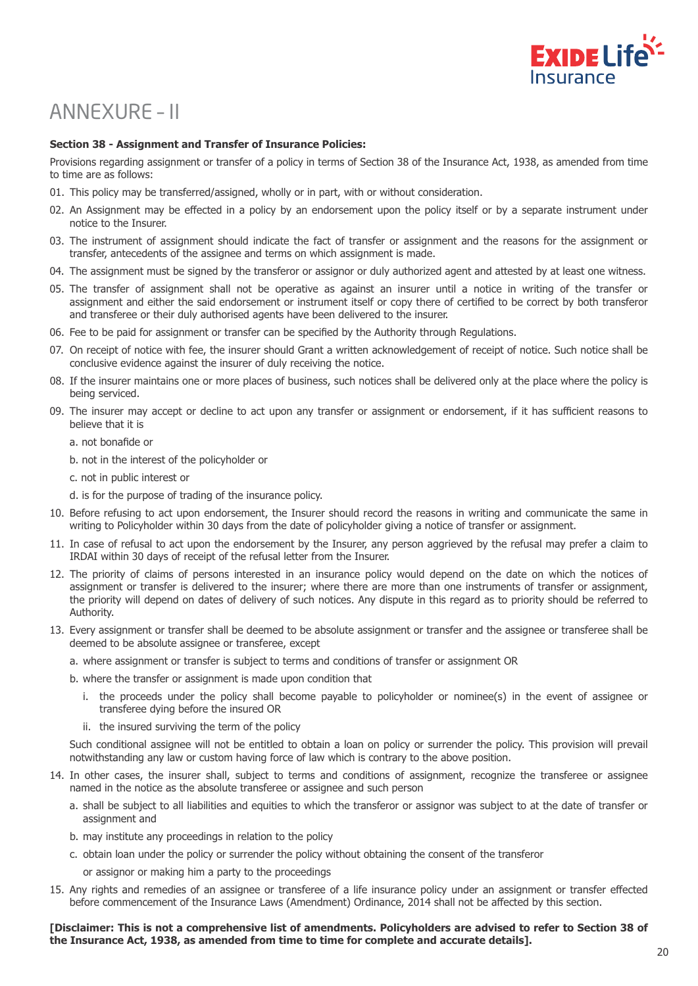

# ANNEXURE – II

# **Section 38 - Assignment and Transfer of Insurance Policies:**

Provisions regarding assignment or transfer of a policy in terms of Section 38 of the Insurance Act, 1938, as amended from time to time are as follows:

- 01. This policy may be transferred/assigned, wholly or in part, with or without consideration.
- 02. An Assignment may be effected in a policy by an endorsement upon the policy itself or by a separate instrument under notice to the Insurer.
- 03. The instrument of assignment should indicate the fact of transfer or assignment and the reasons for the assignment or transfer, antecedents of the assignee and terms on which assignment is made.
- 04. The assignment must be signed by the transferor or assignor or duly authorized agent and attested by at least one witness.
- 05. The transfer of assignment shall not be operative as against an insurer until a notice in writing of the transfer or assignment and either the said endorsement or instrument itself or copy there of certified to be correct by both transferor and transferee or their duly authorised agents have been delivered to the insurer.
- 06. Fee to be paid for assignment or transfer can be specified by the Authority through Regulations.
- 07. On receipt of notice with fee, the insurer should Grant a written acknowledgement of receipt of notice. Such notice shall be conclusive evidence against the insurer of duly receiving the notice.
- 08. If the insurer maintains one or more places of business, such notices shall be delivered only at the place where the policy is being serviced.
- 09. The insurer may accept or decline to act upon any transfer or assignment or endorsement, if it has sufficient reasons to believe that it is
	- a. not bonafide or
	- b. not in the interest of the policyholder or
	- c. not in public interest or
	- d. is for the purpose of trading of the insurance policy.
- 10. Before refusing to act upon endorsement, the Insurer should record the reasons in writing and communicate the same in writing to Policyholder within 30 days from the date of policyholder giving a notice of transfer or assignment.
- 11. In case of refusal to act upon the endorsement by the Insurer, any person aggrieved by the refusal may prefer a claim to IRDAI within 30 days of receipt of the refusal letter from the Insurer.
- 12. The priority of claims of persons interested in an insurance policy would depend on the date on which the notices of assignment or transfer is delivered to the insurer; where there are more than one instruments of transfer or assignment, the priority will depend on dates of delivery of such notices. Any dispute in this regard as to priority should be referred to Authority.
- 13. Every assignment or transfer shall be deemed to be absolute assignment or transfer and the assignee or transferee shall be deemed to be absolute assignee or transferee, except
	- a. where assignment or transfer is subject to terms and conditions of transfer or assignment OR
	- b. where the transfer or assignment is made upon condition that
		- i. the proceeds under the policy shall become payable to policyholder or nominee(s) in the event of assignee or transferee dying before the insured OR
		- ii. the insured surviving the term of the policy

Such conditional assignee will not be entitled to obtain a loan on policy or surrender the policy. This provision will prevail notwithstanding any law or custom having force of law which is contrary to the above position.

- 14. In other cases, the insurer shall, subject to terms and conditions of assignment, recognize the transferee or assignee named in the notice as the absolute transferee or assignee and such person
	- a. shall be subject to all liabilities and equities to which the transferor or assignor was subject to at the date of transfer or assignment and
	- b. may institute any proceedings in relation to the policy
	- c. obtain loan under the policy or surrender the policy without obtaining the consent of the transferor
		- or assignor or making him a party to the proceedings
- 15. Any rights and remedies of an assignee or transferee of a life insurance policy under an assignment or transfer effected before commencement of the Insurance Laws (Amendment) Ordinance, 2014 shall not be affected by this section.

# **[Disclaimer: This is not a comprehensive list of amendments. Policyholders are advised to refer to Section 38 of the Insurance Act, 1938, as amended from time to time for complete and accurate details].**